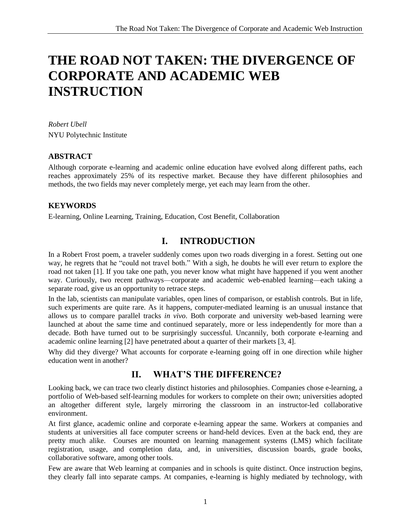# **THE ROAD NOT TAKEN: THE DIVERGENCE OF CORPORATE AND ACADEMIC WEB INSTRUCTION**

*Robert Ubell* NYU Polytechnic Institute

### **ABSTRACT**

Although corporate e-learning and academic online education have evolved along different paths, each reaches approximately 25% of its respective market. Because they have different philosophies and methods, the two fields may never completely merge, yet each may learn from the other.

### **KEYWORDS**

E-learning, Online Learning, Training, Education, Cost Benefit, Collaboration

### **I. INTRODUCTION**

In a Robert Frost poem, a traveler suddenly comes upon two roads diverging in a forest. Setting out one way, he regrets that he "could not travel both." With a sigh, he doubts he will ever return to explore the road not taken [1]. If you take one path, you never know what might have happened if you went another way. Curiously, two recent pathways—corporate and academic web-enabled learning—each taking a separate road, give us an opportunity to retrace steps.

In the lab, scientists can manipulate variables, open lines of comparison, or establish controls. But in life, such experiments are quite rare. As it happens, computer-mediated learning is an unusual instance that allows us to compare parallel tracks *in vivo*. Both corporate and university web-based learning were launched at about the same time and continued separately, more or less independently for more than a decade. Both have turned out to be surprisingly successful. Uncannily, both corporate e-learning and academic online learning [2] have penetrated about a quarter of their markets [3, 4].

Why did they diverge? What accounts for corporate e-learning going off in one direction while higher education went in another?

### **II. WHAT'S THE DIFFERENCE?**

Looking back, we can trace two clearly distinct histories and philosophies. Companies chose e-learning, a portfolio of Web-based self-learning modules for workers to complete on their own; universities adopted an altogether different style, largely mirroring the classroom in an instructor-led collaborative environment.

At first glance, academic online and corporate e-learning appear the same. Workers at companies and students at universities all face computer screens or hand-held devices. Even at the back end, they are pretty much alike. Courses are mounted on learning management systems (LMS) which facilitate registration, usage, and completion data, and, in universities, discussion boards, grade books, collaborative software, among other tools.

Few are aware that Web learning at companies and in schools is quite distinct. Once instruction begins, they clearly fall into separate camps. At companies, e-learning is highly mediated by technology, with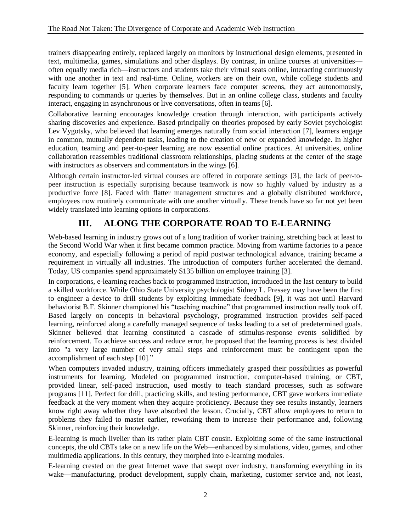trainers disappearing entirely, replaced largely on monitors by instructional design elements, presented in text, multimedia, games, simulations and other displays. By contrast, in online courses at universities often equally media rich—instructors and students take their virtual seats online, interacting continuously with one another in text and real-time. Online, workers are on their own, while college students and faculty learn together [5]. When corporate learners face computer screens, they act autonomously, responding to commands or queries by themselves. But in an online college class, students and faculty interact, engaging in asynchronous or live conversations, often in teams [6].

Collaborative learning encourages knowledge creation through interaction, with participants actively sharing discoveries and experience. Based principally on theories proposed by early Soviet psychologist Lev Vygotsky, who believed that learning emerges naturally from social interaction [7], learners engage in common, mutually dependent tasks, leading to the creation of new or expanded knowledge. In higher education, teaming and peer-to-peer learning are now essential online practices. At universities, online collaboration reassembles traditional classroom relationships, placing students at the center of the stage with instructors as observers and commentators in the wings [6].

Although certain instructor-led virtual courses are offered in corporate settings [3], the lack of peer-topeer instruction is especially surprising because teamwork is now so highly valued by industry as a productive force [8]. Faced with flatter management structures and a globally distributed workforce, employees now routinely communicate with one another virtually. These trends have so far not yet been widely translated into learning options in corporations.

### **III. ALONG THE CORPORATE ROAD TO E-LEARNING**

Web-based learning in industry grows out of a long tradition of worker training, stretching back at least to the Second World War when it first became common practice. Moving from wartime factories to a peace economy, and especially following a period of rapid postwar technological advance, training became a requirement in virtually all industries. The introduction of computers further accelerated the demand. Today, US companies spend approximately \$135 billion on employee training [3].

In corporations, e-learning reaches back to programmed instruction, introduced in the last century to build a skilled workforce. While Ohio State University psychologist Sidney L. Pressey may have been the first to engineer a device to drill students by exploiting immediate feedback [9], it was not until Harvard behaviorist B.F. Skinner championed his "teaching machine" that programmed instruction really took off. Based largely on concepts in behavioral psychology, programmed instruction provides self-paced learning, reinforced along a carefully managed sequence of tasks leading to a set of predetermined goals. Skinner believed that learning constituted a cascade of stimulus-response events solidified by reinforcement. To achieve success and reduce error, he proposed that the learning process is best divided into "a very large number of very small steps and reinforcement must be contingent upon the accomplishment of each step [10]."

When computers invaded industry, training officers immediately grasped their possibilities as powerful instruments for learning. Modeled on programmed instruction, computer-based training, or CBT, provided linear, self-paced instruction, used mostly to teach standard processes, such as software programs [11]. Perfect for drill, practicing skills, and testing performance, CBT gave workers immediate feedback at the very moment when they acquire proficiency. Because they see results instantly, learners know right away whether they have absorbed the lesson. Crucially, CBT allow employees to return to problems they failed to master earlier, reworking them to increase their performance and, following Skinner, reinforcing their knowledge.

E-learning is much livelier than its rather plain CBT cousin. Exploiting some of the same instructional concepts, the old CBTs take on a new life on the Web—enhanced by simulations, video, games, and other multimedia applications. In this century, they morphed into e-learning modules.

E-learning crested on the great Internet wave that swept over industry, transforming everything in its wake—manufacturing, product development, supply chain, marketing, customer service and, not least,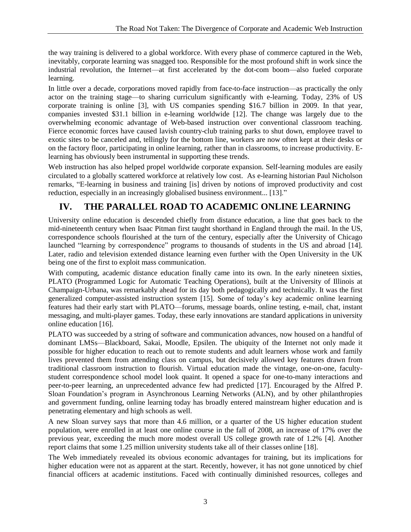the way training is delivered to a global workforce. With every phase of commerce captured in the Web, inevitably, corporate learning was snagged too. Responsible for the most profound shift in work since the industrial revolution, the Internet—at first accelerated by the dot-com boom—also fueled corporate learning.

In little over a decade, corporations moved rapidly from face-to-face instruction—as practically the only actor on the training stage—to sharing curriculum significantly with e-learning. Today, 23% of US corporate training is online [3], with US companies spending \$16.7 billion in 2009. In that year, companies invested \$31.1 billion in e-learning worldwide [12]. The change was largely due to the overwhelming economic advantage of Web-based instruction over conventional classroom teaching. Fierce economic forces have caused lavish country-club training parks to shut down, employee travel to exotic sites to be canceled and, tellingly for the bottom line, workers are now often kept at their desks or on the factory floor, participating in online learning, rather than in classrooms, to increase productivity. Elearning has obviously been instrumental in supporting these trends.

Web instruction has also helped propel worldwide corporate expansion. Self-learning modules are easily circulated to a globally scattered workforce at relatively low cost. As e-learning historian Paul Nicholson remarks, "E-learning in business and training [is] driven by notions of improved productivity and cost reduction, especially in an increasingly globalised business environment... [13]."

## **IV. THE PARALLEL ROAD TO ACADEMIC ONLINE LEARNING**

University online education is descended chiefly from distance education, a line that goes back to the mid-nineteenth century when Isaac Pitman first taught shorthand in England through the mail. In the US, correspondence schools flourished at the turn of the century, especially after the University of Chicago launched "learning by correspondence" programs to thousands of students in the US and abroad [14]. Later, radio and television extended distance learning even further with the Open University in the UK being one of the first to exploit mass communication.

With computing, academic distance education finally came into its own. In the early nineteen sixties, PLATO (Programmed Logic for Automatic Teaching Operations), built at the University of Illinois at Champaign-Urbana, was remarkably ahead for its day both pedagogically and technically. It was the first generalized computer-assisted instruction system [15]. Some of today's key academic online learning features had their early start with PLATO—forums, message boards, online testing, e-mail, chat, instant messaging, and multi-player games. Today, these early innovations are standard applications in university online education [16].

PLATO was succeeded by a string of software and communication advances, now housed on a handful of dominant LMSs—Blackboard, Sakai, Moodle, Epsilen. The ubiquity of the Internet not only made it possible for higher education to reach out to remote students and adult learners whose work and family lives prevented them from attending class on campus, but decisively allowed key features drawn from traditional classroom instruction to flourish. Virtual education made the vintage, one-on-one, facultystudent correspondence school model look quaint. It opened a space for one-to-many interactions and peer-to-peer learning, an unprecedented advance few had predicted [17]. Encouraged by the Alfred P. Sloan Foundation's program in Asynchronous Learning Networks (ALN), and by other philanthropies and government funding, online learning today has broadly entered mainstream higher education and is penetrating elementary and high schools as well.

A new Sloan survey says that more than 4.6 million, or a quarter of the US higher education student population, were enrolled in at least one online course in the fall of 2008, an increase of 17% over the previous year, exceeding the much more modest overall US college growth rate of 1.2% [4]. Another report claims that some 1.25 million university students take all of their classes online [18].

The Web immediately revealed its obvious economic advantages for training, but its implications for higher education were not as apparent at the start. Recently, however, it has not gone unnoticed by chief financial officers at academic institutions. Faced with continually diminished resources, colleges and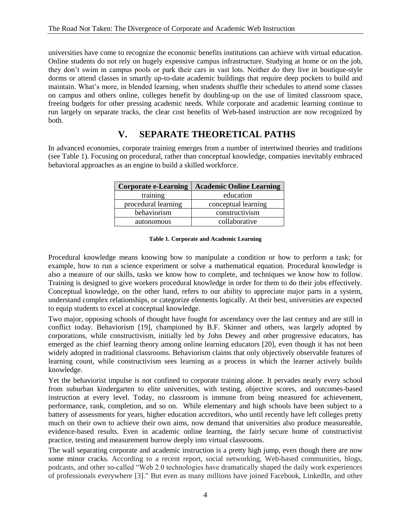universities have come to recognize the economic benefits institutions can achieve with virtual education. Online students do not rely on hugely expensive campus infrastructure. Studying at home or on the job, they don't swim in campus pools or park their cars in vast lots. Neither do they live in boutique-style dorms or attend classes in smartly up-to-date academic buildings that require deep pockets to build and maintain. What's more, in blended learning, when students shuffle their schedules to attend some classes on campus and others online, colleges benefit by doubling-up on the use of limited classroom space, freeing budgets for other pressing academic needs. While corporate and academic learning continue to run largely on separate tracks, the clear cost benefits of Web-based instruction are now recognized by both.

### **V. SEPARATE THEORETICAL PATHS**

In advanced economies, corporate training emerges from a number of intertwined theories and traditions (see Table 1). Focusing on procedural, rather than conceptual knowledge, companies inevitably embraced behavioral approaches as an engine to build a skilled workforce.

| <b>Corporate e-Learning</b> | <b>Academic Online Learning</b> |
|-----------------------------|---------------------------------|
| training                    | education                       |
| procedural learning         | conceptual learning             |
| behaviorism                 | constructivism                  |
| autonomous                  | collaborative                   |

#### **Table 1. Corporate and Academic Learning**

Procedural knowledge means knowing how to manipulate a condition or how to perform a task; for example, how to run a science experiment or solve a mathematical equation. Procedural knowledge is also a measure of our skills, tasks we know how to complete, and techniques we know how to follow. Training is designed to give workers procedural knowledge in order for them to do their jobs effectively. Conceptual knowledge, on the other hand, refers to our ability to appreciate major parts in a system, understand complex relationships, or categorize elements logically. At their best, universities are expected to equip students to excel at conceptual knowledge.

Two major, opposing schools of thought have fought for ascendancy over the last century and are still in conflict today. Behaviorism [19], championed by B.F. Skinner and others, was largely adopted by corporations, while constructivism, initially led by John Dewey and other progressive educators, has emerged as the chief learning theory among online learning educators [20], even though it has not been widely adopted in traditional classrooms. Behaviorism claims that only objectively observable features of learning count, while constructivism sees learning as a process in which the learner actively builds knowledge.

Yet the behaviorist impulse is not confined to corporate training alone. It pervades nearly every school from suburban kindergarten to elite universities, with testing, objective scores, and outcomes-based instruction at every level. Today, no classroom is immune from being measured for achievement, performance, rank, completion, and so on. While elementary and high schools have been subject to a battery of assessments for years, higher education accreditors, who until recently have left colleges pretty much on their own to achieve their own aims, now demand that universities also produce measureable, evidence-based results. Even in academic online learning, the fairly secure home of constructivist practice, testing and measurement burrow deeply into virtual classrooms.

The wall separating corporate and academic instruction is a pretty high jump, even though there are now some minor cracks. According to a recent report, social networking, Web-based communities, blogs, podcasts, and other so-called "Web 2.0 technologies have dramatically shaped the daily work experiences of professionals everywhere [3]." But even as many millions have joined Facebook, LinkedIn, and other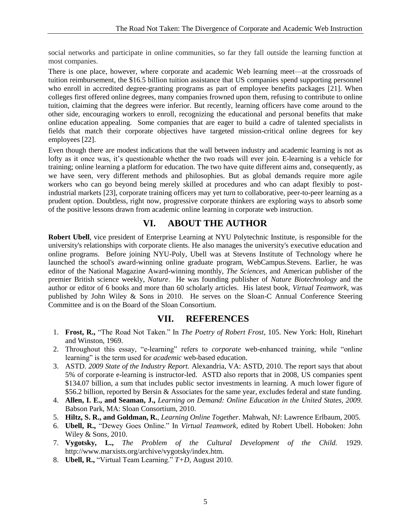social networks and participate in online communities, so far they fall outside the learning function at most companies.

There is one place, however, where corporate and academic Web learning meet—at the crossroads of tuition reimbursement, the \$16.5 billion tuition assistance that US companies spend supporting personnel who enroll in accredited degree-granting programs as part of employee benefits packages [21]. When colleges first offered online degrees, many companies frowned upon them, refusing to contribute to online tuition, claiming that the degrees were inferior. But recently, learning officers have come around to the other side, encouraging workers to enroll, recognizing the educational and personal benefits that make online education appealing. Some companies that are eager to build a cadre of talented specialists in fields that match their corporate objectives have targeted mission-critical online degrees for key employees [22].

Even though there are modest indications that the wall between industry and academic learning is not as lofty as it once was, it's questionable whether the two roads will ever join. E-learning is a vehicle for training; online learning a platform for education. The two have quite different aims and, consequently, as we have seen, very different methods and philosophies. But as global demands require more agile workers who can go beyond being merely skilled at procedures and who can adapt flexibly to postindustrial markets [23], corporate training officers may yet turn to collaborative, peer-to-peer learning as a prudent option. Doubtless, right now, progressive corporate thinkers are exploring ways to absorb some of the positive lessons drawn from academic online learning in corporate web instruction.

### **VI. ABOUT THE AUTHOR**

**Robert Ubell**, vice president of Enterprise Learning at NYU Polytechnic Institute, is responsible for the university's relationships with corporate clients. He also manages the university's executive education and online programs. Before joining NYU-Poly, Ubell was at Stevens Institute of Technology where he launched the school's award-winning online graduate program, WebCampus.Stevens. Earlier, he was editor of the National Magazine Award-winning monthly, *The Sciences*, and American publisher of the premier British science weekly, *Nature*. He was founding publisher of *Nature Biotechnology* and the author or editor of 6 books and more than 60 scholarly articles. His latest book, *Virtual Teamwork*, was published by John Wiley & Sons in 2010. He serves on the Sloan-C Annual Conference Steering Committee and is on the Board of the Sloan Consortium.

### **VII. REFERENCES**

- 1. **Frost, R.,** "The Road Not Taken." In *The Poetry of Robert Frost*, 105. New York: Holt, Rinehart and Winston, 1969.
- 2. Throughout this essay, "e-learning" refers to *corporate* web-enhanced training, while "online learning" is the term used for *academic* web-based education.
- 3. ASTD. *2009 State of the Industry Report.* Alexandria, VA: ASTD, 2010. The report says that about 5% of corporate e-learning is instructor-led. ASTD also reports that in 2008, US companies spent \$134.07 billion, a sum that includes public sector investments in learning. A much lower figure of \$56.2 billion, reported by Bersin & Associates for the same year, excludes federal and state funding.
- 4. **Allen, I. E., and Seaman, J.,** *Learning on Demand: Online Education in the United States, 2009.* Babson Park, MA: Sloan Consortium, 2010.
- 5. **Hiltz, S. R., and Goldman, R.**, *Learning Online Together.* Mahwah, NJ: Lawrence Erlbaum, 2005.
- 6. **Ubell, R.,** "Dewey Goes Online." In *Virtual Teamwork*, edited by Robert Ubell. Hoboken: John Wiley & Sons, 2010.
- 7. **Vygotsky, L.,** *The Problem of the Cultural Development of the Child.* 1929. [http://www.marxists.org/archive/vygotsky/index.htm.](http://www.marxists.org/archive/vygotsky/index.htm)
- 8. **Ubell, R.,** "Virtual Team Learning." *T+D*, August 2010.